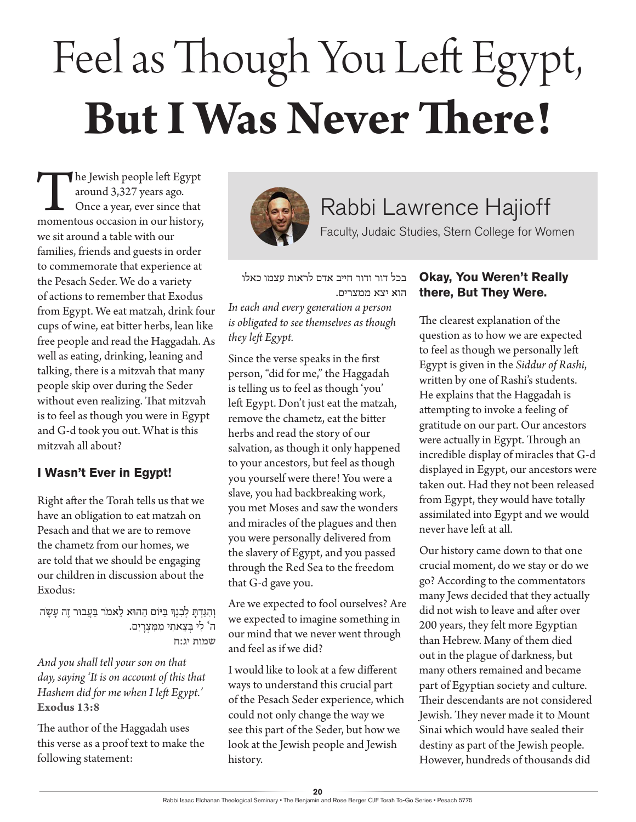# Feel as Though You Left Egypt, **But I Was Never There!**

The Jewish people left Egypt<br>
around 3,327 years ago.<br>
Once a year, ever since that<br>
momentous occasion in our history, around 3,327 years ago. Once a year, ever since that we sit around a table with our families, friends and guests in order to commemorate that experience at the Pesach Seder. We do a variety of actions to remember that Exodus from Egypt. We eat matzah, drink four cups of wine, eat bitter herbs, lean like free people and read the Haggadah. As well as eating, drinking, leaning and talking, there is a mitzvah that many people skip over during the Seder without even realizing. That mitzvah is to feel as though you were in Egypt and G-d took you out. What is this mitzvah all about?

#### **I Wasn't Ever in Egypt!**

Right after the Torah tells us that we have an obligation to eat matzah on Pesach and that we are to remove the chametz from our homes, we are told that we should be engaging our children in discussion about the Exodus:

וְהִגַּדְתַּ לְבְנִךְ בַּיּוֹם הַהוּא לֵאמֹר בַּעֲבוּר זֶה עַשָׂה ה' לִ י ּבְ צֵ אתִ י מִ ּמִ צְ רָ יִם. **שמות יג:ח**

*And you shall tell your son on that day, saying 'It is on account of this that Hashem did for me when I left Egypt.'* **Exodus 13:8**

The author of the Haggadah uses this verse as a proof text to make the following statement:



## Rabbi Lawrence Hajioff

Faculty, Judaic Studies, Stern College for Women

בכל דור ודור חייב אדם לראות עצמו כאלו הוא יצא ממצרים.

*In each and every generation a person is obligated to see themselves as though they left Egypt.*

Since the verse speaks in the first person, "did for me," the Haggadah is telling us to feel as though 'you' left Egypt. Don't just eat the matzah, remove the chametz, eat the bitter herbs and read the story of our salvation, as though it only happened to your ancestors, but feel as though you yourself were there! You were a slave, you had backbreaking work, you met Moses and saw the wonders and miracles of the plagues and then you were personally delivered from the slavery of Egypt, and you passed through the Red Sea to the freedom that G-d gave you.

Are we expected to fool ourselves? Are we expected to imagine something in our mind that we never went through and feel as if we did?

I would like to look at a few different ways to understand this crucial part of the Pesach Seder experience, which could not only change the way we see this part of the Seder, but how we look at the Jewish people and Jewish history.

#### **Okay, You Weren't Really there, But They Were.**

The clearest explanation of the question as to how we are expected to feel as though we personally left Egypt is given in the *Siddur of Rashi*, written by one of Rashi's students. He explains that the Haggadah is attempting to invoke a feeling of gratitude on our part. Our ancestors were actually in Egypt. Through an incredible display of miracles that G-d displayed in Egypt, our ancestors were taken out. Had they not been released from Egypt, they would have totally assimilated into Egypt and we would never have left at all.

Our history came down to that one crucial moment, do we stay or do we go? According to the commentators many Jews decided that they actually did not wish to leave and after over 200 years, they felt more Egyptian than Hebrew. Many of them died out in the plague of darkness, but many others remained and became part of Egyptian society and culture. Their descendants are not considered Jewish. They never made it to Mount Sinai which would have sealed their destiny as part of the Jewish people. However, hundreds of thousands did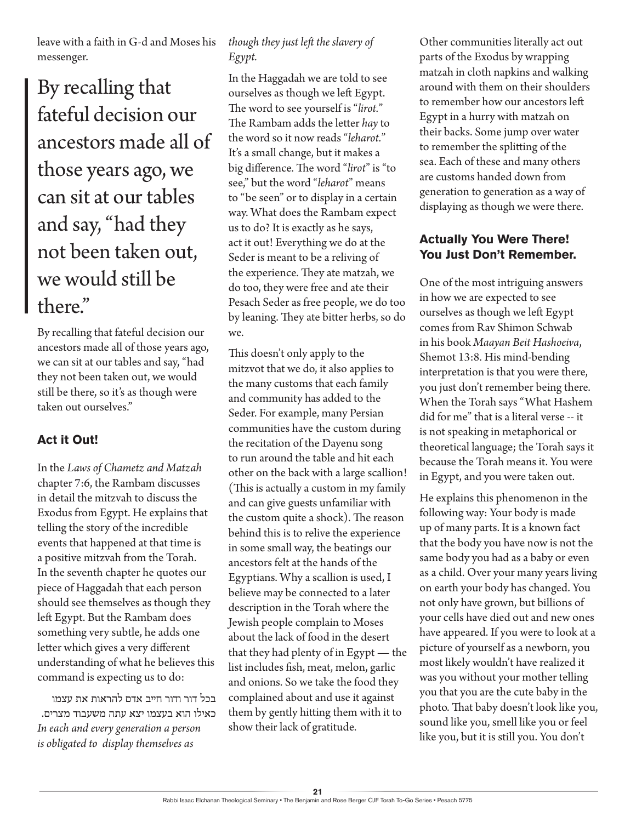leave with a faith in G-d and Moses his messenger.

By recalling that fateful decision our ancestors made all of those years ago, we can sit at our tables and say, "had they not been taken out, we would still be there."

By recalling that fateful decision our ancestors made all of those years ago, we can sit at our tables and say, "had they not been taken out, we would still be there, so it's as though were taken out ourselves."

#### **Act it Out!**

In the *Laws of Chametz and Matzah* chapter 7:6, the Rambam discusses in detail the mitzvah to discuss the Exodus from Egypt. He explains that telling the story of the incredible events that happened at that time is a positive mitzvah from the Torah. In the seventh chapter he quotes our piece of Haggadah that each person should see themselves as though they left Egypt. But the Rambam does something very subtle, he adds one letter which gives a very different understanding of what he believes this command is expecting us to do:

בכל דור ודור חייב אדם להראות את עצמו כאילו הוא בעצמו יצא עתה משעבוד מצרים. *In each and every generation a person is obligated to display themselves as* 

#### *though they just left the slavery of Egypt.*

In the Haggadah we are told to see ourselves as though we left Egypt. The word to see yourself is "*lirot.*" The Rambam adds the letter *hay* to the word so it now reads "*leharot.*" It's a small change, but it makes a big difference. The word "*lirot*" is "to see," but the word "*leharot*" means to "be seen" or to display in a certain way. What does the Rambam expect us to do? It is exactly as he says, act it out! Everything we do at the Seder is meant to be a reliving of the experience. They ate matzah, we do too, they were free and ate their Pesach Seder as free people, we do too by leaning. They ate bitter herbs, so do we.

This doesn't only apply to the mitzvot that we do, it also applies to the many customs that each family and community has added to the Seder. For example, many Persian communities have the custom during the recitation of the Dayenu song to run around the table and hit each other on the back with a large scallion! (This is actually a custom in my family and can give guests unfamiliar with the custom quite a shock). The reason behind this is to relive the experience in some small way, the beatings our ancestors felt at the hands of the Egyptians. Why a scallion is used, I believe may be connected to a later description in the Torah where the Jewish people complain to Moses about the lack of food in the desert that they had plenty of in Egypt — the list includes fish, meat, melon, garlic and onions. So we take the food they complained about and use it against them by gently hitting them with it to show their lack of gratitude.

Other communities literally act out parts of the Exodus by wrapping matzah in cloth napkins and walking around with them on their shoulders to remember how our ancestors left Egypt in a hurry with matzah on their backs. Some jump over water to remember the splitting of the sea. Each of these and many others are customs handed down from generation to generation as a way of displaying as though we were there.

### **Actually You Were There! You Just Don't Remember.**

One of the most intriguing answers in how we are expected to see ourselves as though we left Egypt comes from Rav Shimon Schwab in his book *Maayan Beit Hashoeiva*, Shemot 13:8. His mind-bending interpretation is that you were there, you just don't remember being there. When the Torah says "What Hashem did for me" that is a literal verse -- it is not speaking in metaphorical or theoretical language; the Torah says it because the Torah means it. You were in Egypt, and you were taken out.

He explains this phenomenon in the following way: Your body is made up of many parts. It is a known fact that the body you have now is not the same body you had as a baby or even as a child. Over your many years living on earth your body has changed. You not only have grown, but billions of your cells have died out and new ones have appeared. If you were to look at a picture of yourself as a newborn, you most likely wouldn't have realized it was you without your mother telling you that you are the cute baby in the photo. That baby doesn't look like you, sound like you, smell like you or feel like you, but it is still you. You don't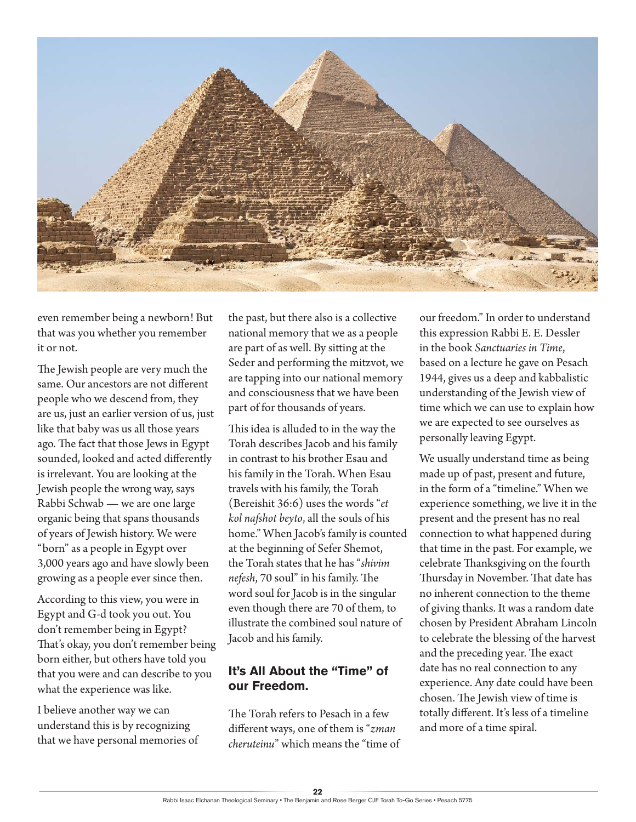

even remember being a newborn! But that was you whether you remember it or not.

The Jewish people are very much the same. Our ancestors are not different people who we descend from, they are us, just an earlier version of us, just like that baby was us all those years ago. The fact that those Jews in Egypt sounded, looked and acted differently is irrelevant. You are looking at the Jewish people the wrong way, says Rabbi Schwab — we are one large organic being that spans thousands of years of Jewish history. We were "born" as a people in Egypt over 3,000 years ago and have slowly been growing as a people ever since then.

According to this view, you were in Egypt and G-d took you out. You don't remember being in Egypt? That's okay, you don't remember being born either, but others have told you that you were and can describe to you what the experience was like.

I believe another way we can understand this is by recognizing that we have personal memories of

the past, but there also is a collective national memory that we as a people are part of as well. By sitting at the Seder and performing the mitzvot, we are tapping into our national memory and consciousness that we have been part of for thousands of years.

This idea is alluded to in the way the Torah describes Jacob and his family in contrast to his brother Esau and his family in the Torah. When Esau travels with his family, the Torah (Bereishit 36:6) uses the words "*et kol nafshot beyto*, all the souls of his home." When Jacob's family is counted at the beginning of Sefer Shemot, the Torah states that he has "*shivim nefesh*, 70 soul" in his family. The word soul for Jacob is in the singular even though there are 70 of them, to illustrate the combined soul nature of Jacob and his family.

#### **It's All About the "Time" of our Freedom.**

The Torah refers to Pesach in a few different ways, one of them is "*zman cheruteinu*" which means the "time of our freedom." In order to understand this expression Rabbi E. E. Dessler in the book *Sanctuaries in Time*, based on a lecture he gave on Pesach 1944, gives us a deep and kabbalistic understanding of the Jewish view of time which we can use to explain how we are expected to see ourselves as personally leaving Egypt.

We usually understand time as being made up of past, present and future, in the form of a "timeline." When we experience something, we live it in the present and the present has no real connection to what happened during that time in the past. For example, we celebrate Thanksgiving on the fourth Thursday in November. That date has no inherent connection to the theme of giving thanks. It was a random date chosen by President Abraham Lincoln to celebrate the blessing of the harvest and the preceding year. The exact date has no real connection to any experience. Any date could have been chosen. The Jewish view of time is totally different. It's less of a timeline and more of a time spiral.